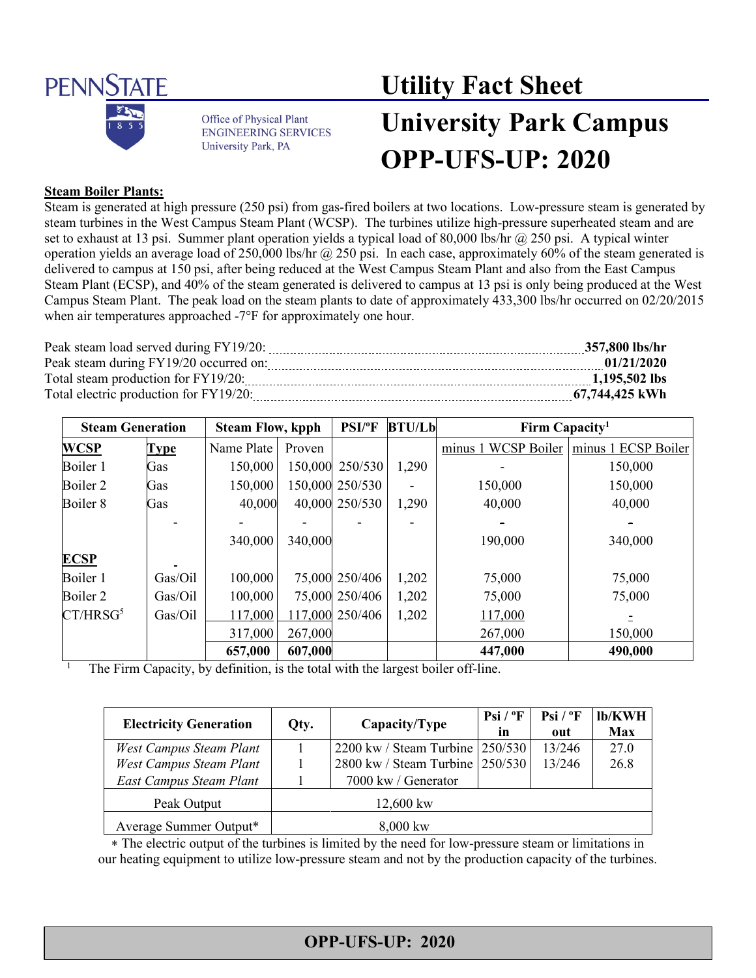

Office of Physical Plant **ENGINEERING SERVICES** University Park, PA

# **Utility Fact Sheet**

## **University Park Campus OPP-UFS-UP: 2020**

#### **Steam Boiler Plants:**

Steam is generated at high pressure (250 psi) from gas-fired boilers at two locations. Low-pressure steam is generated by steam turbines in the West Campus Steam Plant (WCSP). The turbines utilize high-pressure superheated steam and are set to exhaust at 13 psi. Summer plant operation yields a typical load of 80,000 lbs/hr @ 250 psi. A typical winter operation yields an average load of 250,000 lbs/hr  $\omega$  250 psi. In each case, approximately 60% of the steam generated is delivered to campus at 150 psi, after being reduced at the West Campus Steam Plant and also from the East Campus Steam Plant (ECSP), and 40% of the steam generated is delivered to campus at 13 psi is only being produced at the West Campus Steam Plant. The peak load on the steam plants to date of approximately 433,300 lbs/hr occurred on 02/20/2015 when air temperatures approached -7°F for approximately one hour.

| Peak steam load served during FY19/20: | 357,800 lbs/hr |
|----------------------------------------|----------------|
| Peak steam during FY19/20 occurred on: | 01/21/2020     |
| Total steam production for FY19/20:    | 1.195.502 lbs  |
| Total electric production for FY19/20: | 67,744,425 kWh |

| <b>Steam Generation</b> |             | <b>Steam Flow, kpph</b> |         | <b>PSI/°F</b>   | <b>BTU/Lb</b> | Firm Capacity <sup>1</sup> |                     |
|-------------------------|-------------|-------------------------|---------|-----------------|---------------|----------------------------|---------------------|
| <b>WCSP</b>             | <b>Type</b> | Name Plate              | Proven  |                 |               | minus 1 WCSP Boiler        | minus 1 ECSP Boiler |
| Boiler 1                | Gas         | 150,000                 | 150,000 | 250/530         | 1,290         |                            | 150,000             |
| Boiler 2                | Gas         | 150,000                 |         | 150,000 250/530 |               | 150,000                    | 150,000             |
| Boiler 8                | Gas         | 40,000                  |         | 40,000 250/530  | 1,290         | 40,000                     | 40,000              |
|                         |             |                         |         |                 |               |                            |                     |
|                         |             | 340,000                 | 340,000 |                 |               | 190,000                    | 340,000             |
| <b>ECSP</b>             |             |                         |         |                 |               |                            |                     |
| Boiler 1                | Gas/Oil     | 100,000                 |         | 75,000 250/406  | 1,202         | 75,000                     | 75,000              |
| Boiler 2                | Gas/Oil     | 100,000                 |         | 75,000 250/406  | 1,202         | 75,000                     | 75,000              |
| CT/HRSG <sup>5</sup>    | Gas/Oil     | 117,000                 |         | 117,000 250/406 | 1,202         | 117,000                    |                     |
|                         |             | 317,000                 | 267,000 |                 |               | 267,000                    | 150,000             |
|                         |             | 657,000                 | 607,000 |                 |               | 447,000                    | 490,000             |

<sup>1</sup> The Firm Capacity, by definition, is the total with the largest boiler off-line.

| <b>Electricity Generation</b> | Qty.        | Capacity/Type                     | $Psi / {}^{\circ}F$<br>in | $Psi / {}^{\circ}F$<br>out | lb/KWH<br>Max |
|-------------------------------|-------------|-----------------------------------|---------------------------|----------------------------|---------------|
| West Campus Steam Plant       |             | 2200 kw / Steam Turbine   250/530 |                           | 13/246                     | 27.0          |
| West Campus Steam Plant       |             | 2800 kw / Steam Turbine 250/530   |                           | 13/246                     | 26.8          |
| East Campus Steam Plant       |             | 7000 kw / Generator               |                           |                            |               |
| Peak Output                   | $12,600$ kw |                                   |                           |                            |               |
| Average Summer Output*        | $8,000$ kw  |                                   |                           |                            |               |

∗ The electric output of the turbines is limited by the need for low-pressure steam or limitations in our heating equipment to utilize low-pressure steam and not by the production capacity of the turbines.

### **OPP-UFS-UP: 2020**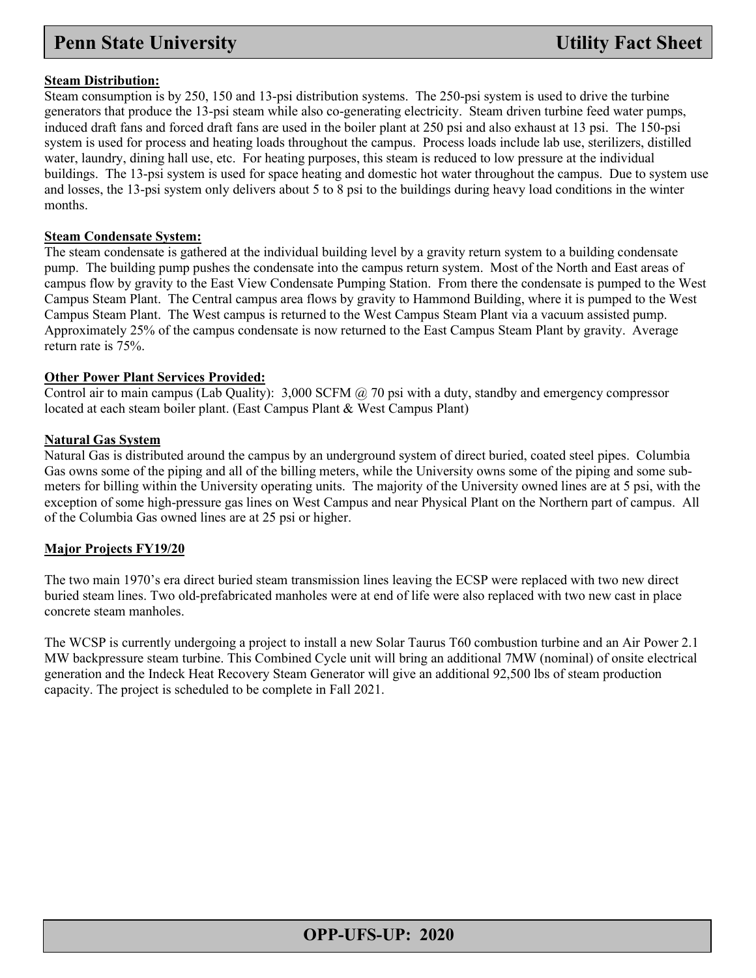#### **Steam Distribution:**

Steam consumption is by 250, 150 and 13-psi distribution systems. The 250-psi system is used to drive the turbine generators that produce the 13-psi steam while also co-generating electricity. Steam driven turbine feed water pumps, induced draft fans and forced draft fans are used in the boiler plant at 250 psi and also exhaust at 13 psi. The 150-psi system is used for process and heating loads throughout the campus. Process loads include lab use, sterilizers, distilled water, laundry, dining hall use, etc. For heating purposes, this steam is reduced to low pressure at the individual buildings. The 13-psi system is used for space heating and domestic hot water throughout the campus. Due to system use and losses, the 13-psi system only delivers about 5 to 8 psi to the buildings during heavy load conditions in the winter months.

#### **Steam Condensate System:**

The steam condensate is gathered at the individual building level by a gravity return system to a building condensate pump. The building pump pushes the condensate into the campus return system. Most of the North and East areas of campus flow by gravity to the East View Condensate Pumping Station. From there the condensate is pumped to the West Campus Steam Plant. The Central campus area flows by gravity to Hammond Building, where it is pumped to the West Campus Steam Plant. The West campus is returned to the West Campus Steam Plant via a vacuum assisted pump. Approximately 25% of the campus condensate is now returned to the East Campus Steam Plant by gravity. Average return rate is 75%.

#### **Other Power Plant Services Provided:**

Control air to main campus (Lab Quality): 3,000 SCFM @ 70 psi with a duty, standby and emergency compressor located at each steam boiler plant. (East Campus Plant & West Campus Plant)

#### **Natural Gas System**

Natural Gas is distributed around the campus by an underground system of direct buried, coated steel pipes. Columbia Gas owns some of the piping and all of the billing meters, while the University owns some of the piping and some submeters for billing within the University operating units. The majority of the University owned lines are at 5 psi, with the exception of some high-pressure gas lines on West Campus and near Physical Plant on the Northern part of campus. All of the Columbia Gas owned lines are at 25 psi or higher.

#### **Major Projects FY19/20**

The two main 1970's era direct buried steam transmission lines leaving the ECSP were replaced with two new direct buried steam lines. Two old-prefabricated manholes were at end of life were also replaced with two new cast in place concrete steam manholes.

The WCSP is currently undergoing a project to install a new Solar Taurus T60 combustion turbine and an Air Power 2.1 MW backpressure steam turbine. This Combined Cycle unit will bring an additional 7MW (nominal) of onsite electrical generation and the Indeck Heat Recovery Steam Generator will give an additional 92,500 lbs of steam production capacity. The project is scheduled to be complete in Fall 2021.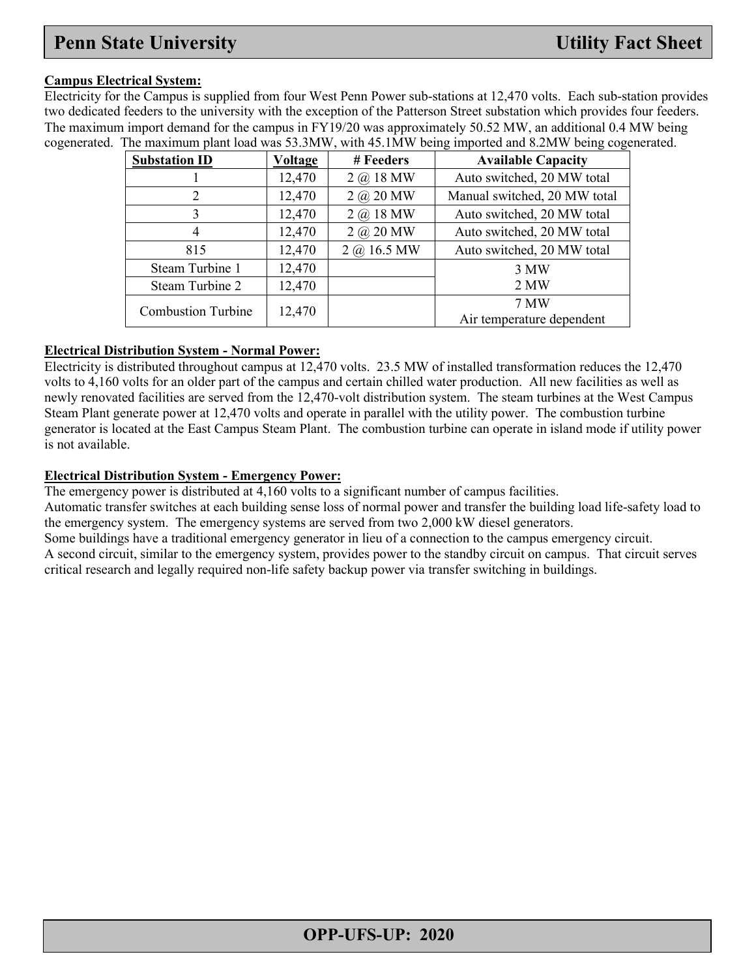#### **Campus Electrical System:**

Electricity for the Campus is supplied from four West Penn Power sub-stations at 12,470 volts. Each sub-station provides two dedicated feeders to the university with the exception of the Patterson Street substation which provides four feeders. The maximum import demand for the campus in FY19/20 was approximately 50.52 MW, an additional 0.4 MW being cogenerated. The maximum plant load was 53.3MW, with 45.1MW being imported and 8.2MW being cogenerated.

| <b>Substation ID</b>      | <b>Voltage</b> | # Feeders        | <b>Available Capacity</b>    |
|---------------------------|----------------|------------------|------------------------------|
|                           | 12,470         | $2 \omega$ 18 MW | Auto switched, 20 MW total   |
| $\overline{2}$            | 12,470         | $2 \omega$ 20 MW | Manual switched, 20 MW total |
| 3                         | 12,470         | $2 \omega$ 18 MW | Auto switched, 20 MW total   |
| 4                         | 12,470         | $2 \omega$ 20 MW | Auto switched, 20 MW total   |
| 815                       | 12,470         | $2 @.16.5$ MW    | Auto switched, 20 MW total   |
| Steam Turbine 1           | 12,470         |                  | 3 MW                         |
| Steam Turbine 2           | 12,470         |                  | 2 MW                         |
| <b>Combustion Turbine</b> | 12,470         |                  | 7 MW                         |
|                           |                |                  | Air temperature dependent    |

#### **Electrical Distribution System - Normal Power:**

Electricity is distributed throughout campus at 12,470 volts. 23.5 MW of installed transformation reduces the 12,470 volts to 4,160 volts for an older part of the campus and certain chilled water production. All new facilities as well as newly renovated facilities are served from the 12,470-volt distribution system. The steam turbines at the West Campus Steam Plant generate power at 12,470 volts and operate in parallel with the utility power. The combustion turbine generator is located at the East Campus Steam Plant. The combustion turbine can operate in island mode if utility power is not available.

#### **Electrical Distribution System - Emergency Power:**

The emergency power is distributed at 4,160 volts to a significant number of campus facilities.

Automatic transfer switches at each building sense loss of normal power and transfer the building load life-safety load to the emergency system. The emergency systems are served from two 2,000 kW diesel generators.

Some buildings have a traditional emergency generator in lieu of a connection to the campus emergency circuit.

A second circuit, similar to the emergency system, provides power to the standby circuit on campus. That circuit serves critical research and legally required non-life safety backup power via transfer switching in buildings.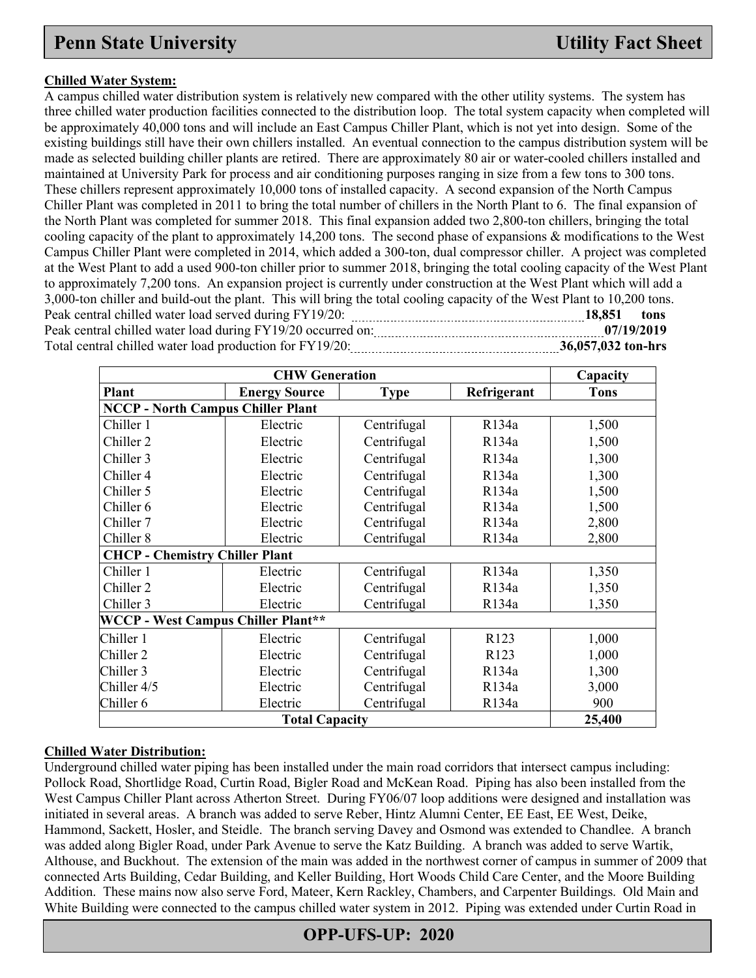#### **Chilled Water System:**

A campus chilled water distribution system is relatively new compared with the other utility systems. The system has three chilled water production facilities connected to the distribution loop. The total system capacity when completed will be approximately 40,000 tons and will include an East Campus Chiller Plant, which is not yet into design. Some of the existing buildings still have their own chillers installed. An eventual connection to the campus distribution system will be made as selected building chiller plants are retired. There are approximately 80 air or water-cooled chillers installed and maintained at University Park for process and air conditioning purposes ranging in size from a few tons to 300 tons. These chillers represent approximately 10,000 tons of installed capacity. A second expansion of the North Campus Chiller Plant was completed in 2011 to bring the total number of chillers in the North Plant to 6. The final expansion of the North Plant was completed for summer 2018. This final expansion added two 2,800-ton chillers, bringing the total cooling capacity of the plant to approximately 14,200 tons. The second phase of expansions & modifications to the West Campus Chiller Plant were completed in 2014, which added a 300-ton, dual compressor chiller. A project was completed at the West Plant to add a used 900-ton chiller prior to summer 2018, bringing the total cooling capacity of the West Plant to approximately 7,200 tons. An expansion project is currently under construction at the West Plant which will add a 3,000-ton chiller and build-out the plant. This will bring the total cooling capacity of the West Plant to 10,200 tons. Peak central chilled water load served during FY19/20: **18,851** tons Peak central chilled water load during FY19/20 occurred on: **07/19/2019** Total central chilled water load production for FY19/20: **36,057,032 ton-hrs** 36,057,032 ton-hrs

|                                           | Capacity              |             |                  |             |  |  |  |  |
|-------------------------------------------|-----------------------|-------------|------------------|-------------|--|--|--|--|
| Plant                                     | <b>Energy Source</b>  | <b>Type</b> | Refrigerant      | <b>Tons</b> |  |  |  |  |
| <b>NCCP - North Campus Chiller Plant</b>  |                       |             |                  |             |  |  |  |  |
| Chiller 1                                 | Electric              | Centrifugal | R134a            | 1,500       |  |  |  |  |
| Chiller 2                                 | Electric              | Centrifugal | R134a            | 1,500       |  |  |  |  |
| Chiller 3                                 | Electric              | Centrifugal | R134a            | 1,300       |  |  |  |  |
| Chiller 4                                 | Electric              | Centrifugal | R134a            | 1,300       |  |  |  |  |
| Chiller 5                                 | Electric              | Centrifugal | R134a            | 1,500       |  |  |  |  |
| Chiller 6                                 | Electric              | Centrifugal | R134a            | 1,500       |  |  |  |  |
| Chiller 7                                 | Electric              | Centrifugal | R134a            | 2,800       |  |  |  |  |
| Chiller 8                                 | Electric              | Centrifugal | R134a            | 2,800       |  |  |  |  |
| <b>CHCP - Chemistry Chiller Plant</b>     |                       |             |                  |             |  |  |  |  |
| Chiller 1                                 | Electric              | Centrifugal | R134a            | 1,350       |  |  |  |  |
| Chiller 2                                 | Electric              | Centrifugal | R134a            | 1,350       |  |  |  |  |
| Chiller 3                                 | Electric              | Centrifugal | R134a            | 1,350       |  |  |  |  |
| <b>WCCP - West Campus Chiller Plant**</b> |                       |             |                  |             |  |  |  |  |
| Chiller 1                                 | Electric              | Centrifugal | R <sub>123</sub> | 1,000       |  |  |  |  |
| Chiller 2                                 | Electric              | Centrifugal | R <sub>123</sub> | 1,000       |  |  |  |  |
| Chiller 3                                 | Electric              | Centrifugal | R134a            | 1,300       |  |  |  |  |
| Chiller 4/5                               | Electric              | Centrifugal | R134a            | 3,000       |  |  |  |  |
| Chiller 6                                 | Electric              | Centrifugal | R134a            | 900         |  |  |  |  |
|                                           | <b>Total Capacity</b> |             |                  | 25,400      |  |  |  |  |

#### **Chilled Water Distribution:**

Underground chilled water piping has been installed under the main road corridors that intersect campus including: Pollock Road, Shortlidge Road, Curtin Road, Bigler Road and McKean Road. Piping has also been installed from the West Campus Chiller Plant across Atherton Street. During FY06/07 loop additions were designed and installation was initiated in several areas. A branch was added to serve Reber, Hintz Alumni Center, EE East, EE West, Deike, Hammond, Sackett, Hosler, and Steidle. The branch serving Davey and Osmond was extended to Chandlee. A branch was added along Bigler Road, under Park Avenue to serve the Katz Building. A branch was added to serve Wartik, Althouse, and Buckhout. The extension of the main was added in the northwest corner of campus in summer of 2009 that connected Arts Building, Cedar Building, and Keller Building, Hort Woods Child Care Center, and the Moore Building Addition. These mains now also serve Ford, Mateer, Kern Rackley, Chambers, and Carpenter Buildings. Old Main and White Building were connected to the campus chilled water system in 2012. Piping was extended under Curtin Road in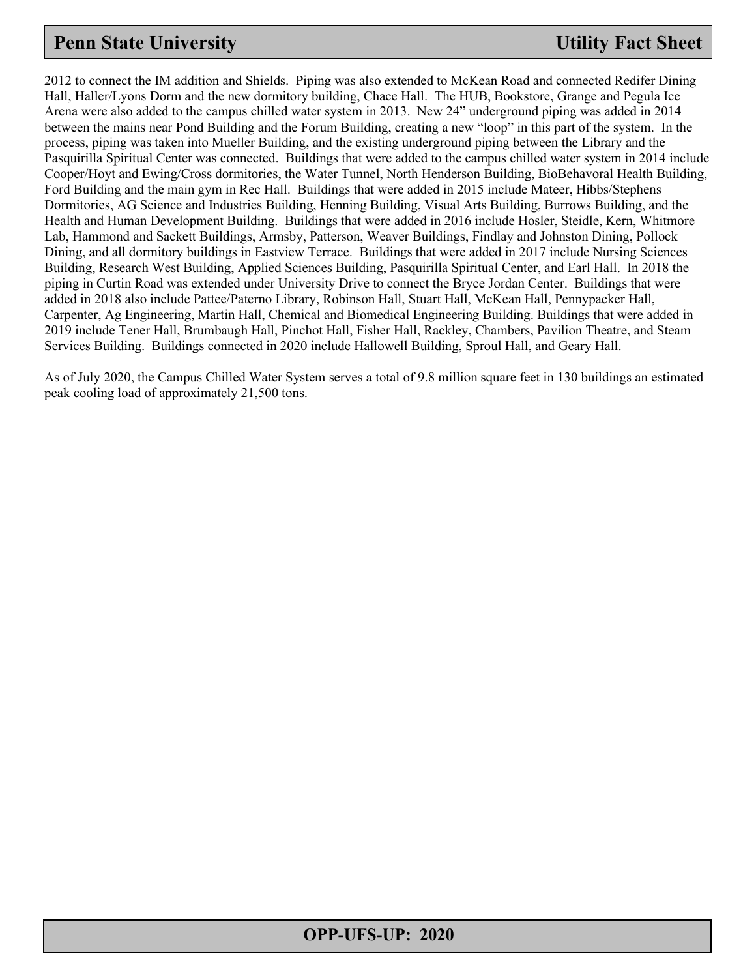2012 to connect the IM addition and Shields. Piping was also extended to McKean Road and connected Redifer Dining Hall, Haller/Lyons Dorm and the new dormitory building, Chace Hall. The HUB, Bookstore, Grange and Pegula Ice Arena were also added to the campus chilled water system in 2013. New 24" underground piping was added in 2014 between the mains near Pond Building and the Forum Building, creating a new "loop" in this part of the system. In the process, piping was taken into Mueller Building, and the existing underground piping between the Library and the Pasquirilla Spiritual Center was connected. Buildings that were added to the campus chilled water system in 2014 include Cooper/Hoyt and Ewing/Cross dormitories, the Water Tunnel, North Henderson Building, BioBehavoral Health Building, Ford Building and the main gym in Rec Hall. Buildings that were added in 2015 include Mateer, Hibbs/Stephens Dormitories, AG Science and Industries Building, Henning Building, Visual Arts Building, Burrows Building, and the Health and Human Development Building. Buildings that were added in 2016 include Hosler, Steidle, Kern, Whitmore Lab, Hammond and Sackett Buildings, Armsby, Patterson, Weaver Buildings, Findlay and Johnston Dining, Pollock Dining, and all dormitory buildings in Eastview Terrace. Buildings that were added in 2017 include Nursing Sciences Building, Research West Building, Applied Sciences Building, Pasquirilla Spiritual Center, and Earl Hall. In 2018 the piping in Curtin Road was extended under University Drive to connect the Bryce Jordan Center. Buildings that were added in 2018 also include Pattee/Paterno Library, Robinson Hall, Stuart Hall, McKean Hall, Pennypacker Hall, Carpenter, Ag Engineering, Martin Hall, Chemical and Biomedical Engineering Building. Buildings that were added in 2019 include Tener Hall, Brumbaugh Hall, Pinchot Hall, Fisher Hall, Rackley, Chambers, Pavilion Theatre, and Steam Services Building. Buildings connected in 2020 include Hallowell Building, Sproul Hall, and Geary Hall.

As of July 2020, the Campus Chilled Water System serves a total of 9.8 million square feet in 130 buildings an estimated peak cooling load of approximately 21,500 tons.

### **OPP-UFS-UP: 2020**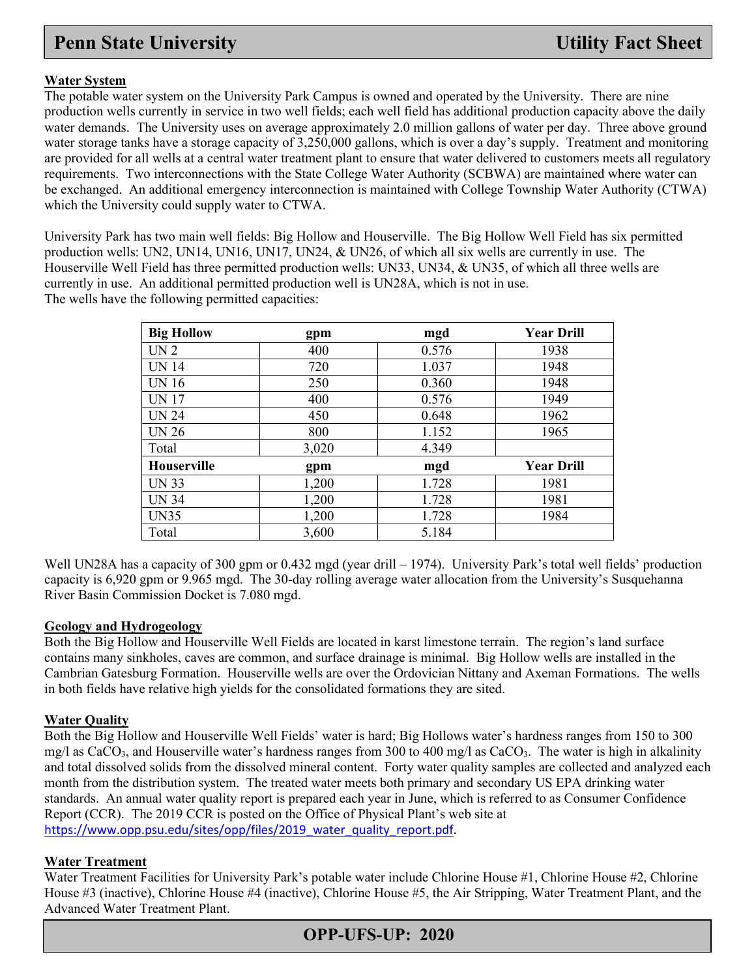#### **Water System**

The potable water system on the University Park Campus is owned and operated by the University. There are nine production wells currently in service in two well fields; each well field has additional production capacity above the daily water demands. The University uses on average approximately 2.0 million gallons of water per day. Three above ground water storage tanks have a storage capacity of 3,250,000 gallons, which is over a day's supply. Treatment and monitoring are provided for all wells at a central water treatment plant to ensure that water delivered to customers meets all regulatory requirements. Two interconnections with the State College Water Authority (SCBWA) are maintained where water can be exchanged. An additional emergency interconnection is maintained with College Township Water Authority (CTWA) which the University could supply water to CTWA.

University Park has two main well fields: Big Hollow and Houserville. The Big Hollow Well Field has six permitted production wells: UN2, UN14, UN16, UN17, UN24, & UN26, of which all six wells are currently in use. The Houserville Well Field has three permitted production wells: UN33, UN34, & UN35, of which all three wells are currently in use. An additional permitted production well is UN28A, which is not in use. The wells have the following permitted capacities:

| <b>Big Hollow</b>  | gpm   | mgd   | <b>Year Drill</b> |
|--------------------|-------|-------|-------------------|
| UN <sub>2</sub>    | 400   | 0.576 | 1938              |
| <b>UN 14</b>       | 720   | 1.037 | 1948              |
| <b>UN16</b>        | 250   | 0.360 | 1948              |
| <b>UN17</b>        | 400   | 0.576 | 1949              |
| <b>UN 24</b>       | 450   | 0.648 | 1962              |
| <b>UN 26</b>       | 800   | 1.152 | 1965              |
| Total              | 3,020 | 4.349 |                   |
| <b>Houserville</b> | gpm   | mgd   | <b>Year Drill</b> |
| <b>UN 33</b>       | 1,200 | 1.728 | 1981              |
| <b>UN 34</b>       | 1,200 | 1.728 | 1981              |
| <b>UN35</b>        | 1,200 | 1.728 | 1984              |
| Total              | 3,600 | 5.184 |                   |

Well UN28A has a capacity of 300 gpm or 0.432 mgd (year drill – 1974). University Park's total well fields' production capacity is 6,920 gpm or 9.965 mgd. The 30-day rolling average water allocation from the University's Susquehanna River Basin Commission Docket is 7.080 mgd.

#### **Geology and Hydrogeology**

Both the Big Hollow and Houserville Well Fields are located in karst limestone terrain. The region's land surface contains many sinkholes, caves are common, and surface drainage is minimal. Big Hollow wells are installed in the Cambrian Gatesburg Formation. Houserville wells are over the Ordovician Nittany and Axeman Formations. The wells in both fields have relative high yields for the consolidated formations they are sited.

#### **Water Quality**

Both the Big Hollow and Houserville Well Fields' water is hard; Big Hollows water's hardness ranges from 150 to 300 mg/l as CaCO<sub>3</sub>, and Houserville water's hardness ranges from 300 to 400 mg/l as CaCO<sub>3</sub>. The water is high in alkalinity and total dissolved solids from the dissolved mineral content. Forty water quality samples are collected and analyzed each month from the distribution system. The treated water meets both primary and secondary US EPA drinking water standards. An annual water quality report is prepared each year in June, which is referred to as Consumer Confidence Report (CCR). The 2019 CCR is posted on the Office of Physical Plant's web site at [https://www.opp.psu.edu/sites/opp/files/2019\\_water\\_quality\\_report.pdf.](https://www.opp.psu.edu/sites/opp/files/2019_water_quality_report.pdf)

#### **Water Treatment**

Water Treatment Facilities for University Park's potable water include Chlorine House #1, Chlorine House #2, Chlorine House #3 (inactive), Chlorine House #4 (inactive), Chlorine House #5, the Air Stripping, Water Treatment Plant, and the Advanced Water Treatment Plant.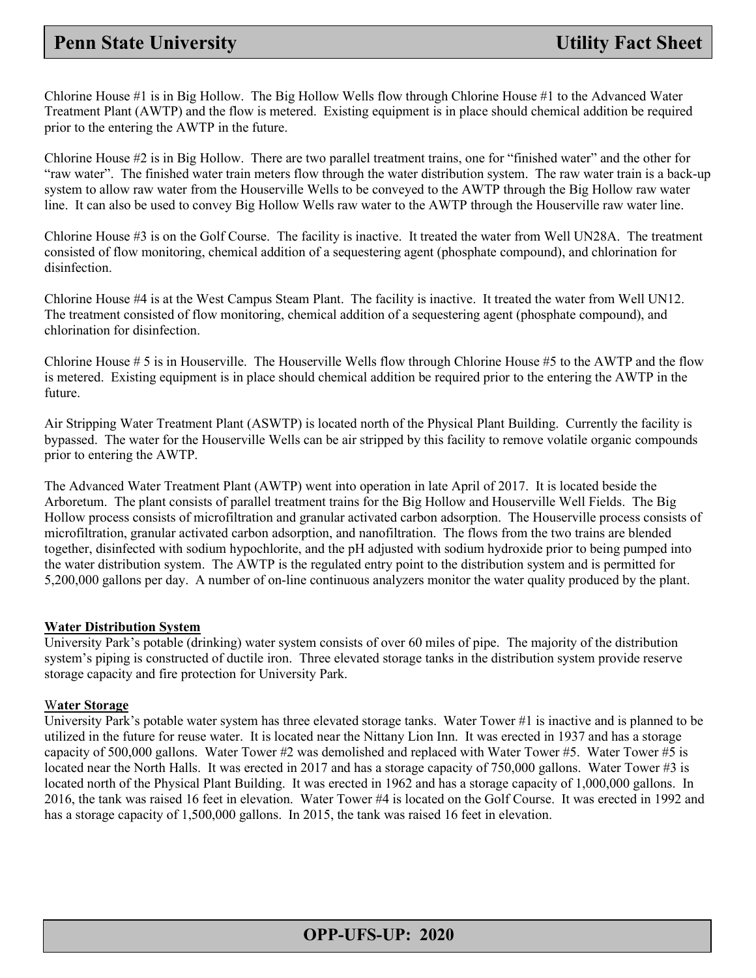Chlorine House #1 is in Big Hollow. The Big Hollow Wells flow through Chlorine House #1 to the Advanced Water Treatment Plant (AWTP) and the flow is metered. Existing equipment is in place should chemical addition be required prior to the entering the AWTP in the future.

Chlorine House #2 is in Big Hollow. There are two parallel treatment trains, one for "finished water" and the other for "raw water". The finished water train meters flow through the water distribution system. The raw water train is a back-up system to allow raw water from the Houserville Wells to be conveyed to the AWTP through the Big Hollow raw water line. It can also be used to convey Big Hollow Wells raw water to the AWTP through the Houserville raw water line.

Chlorine House #3 is on the Golf Course. The facility is inactive. It treated the water from Well UN28A. The treatment consisted of flow monitoring, chemical addition of a sequestering agent (phosphate compound), and chlorination for disinfection.

Chlorine House #4 is at the West Campus Steam Plant. The facility is inactive. It treated the water from Well UN12. The treatment consisted of flow monitoring, chemical addition of a sequestering agent (phosphate compound), and chlorination for disinfection.

Chlorine House # 5 is in Houserville. The Houserville Wells flow through Chlorine House #5 to the AWTP and the flow is metered. Existing equipment is in place should chemical addition be required prior to the entering the AWTP in the future.

Air Stripping Water Treatment Plant (ASWTP) is located north of the Physical Plant Building. Currently the facility is bypassed. The water for the Houserville Wells can be air stripped by this facility to remove volatile organic compounds prior to entering the AWTP.

The Advanced Water Treatment Plant (AWTP) went into operation in late April of 2017. It is located beside the Arboretum. The plant consists of parallel treatment trains for the Big Hollow and Houserville Well Fields. The Big Hollow process consists of microfiltration and granular activated carbon adsorption. The Houserville process consists of microfiltration, granular activated carbon adsorption, and nanofiltration. The flows from the two trains are blended together, disinfected with sodium hypochlorite, and the pH adjusted with sodium hydroxide prior to being pumped into the water distribution system. The AWTP is the regulated entry point to the distribution system and is permitted for 5,200,000 gallons per day. A number of on-line continuous analyzers monitor the water quality produced by the plant.

#### **Water Distribution System**

University Park's potable (drinking) water system consists of over 60 miles of pipe. The majority of the distribution system's piping is constructed of ductile iron. Three elevated storage tanks in the distribution system provide reserve storage capacity and fire protection for University Park.

#### W**ater Storage**

University Park's potable water system has three elevated storage tanks. Water Tower #1 is inactive and is planned to be utilized in the future for reuse water. It is located near the Nittany Lion Inn. It was erected in 1937 and has a storage capacity of 500,000 gallons. Water Tower #2 was demolished and replaced with Water Tower #5. Water Tower #5 is located near the North Halls. It was erected in 2017 and has a storage capacity of 750,000 gallons. Water Tower #3 is located north of the Physical Plant Building. It was erected in 1962 and has a storage capacity of 1,000,000 gallons. In 2016, the tank was raised 16 feet in elevation. Water Tower #4 is located on the Golf Course. It was erected in 1992 and has a storage capacity of 1,500,000 gallons. In 2015, the tank was raised 16 feet in elevation.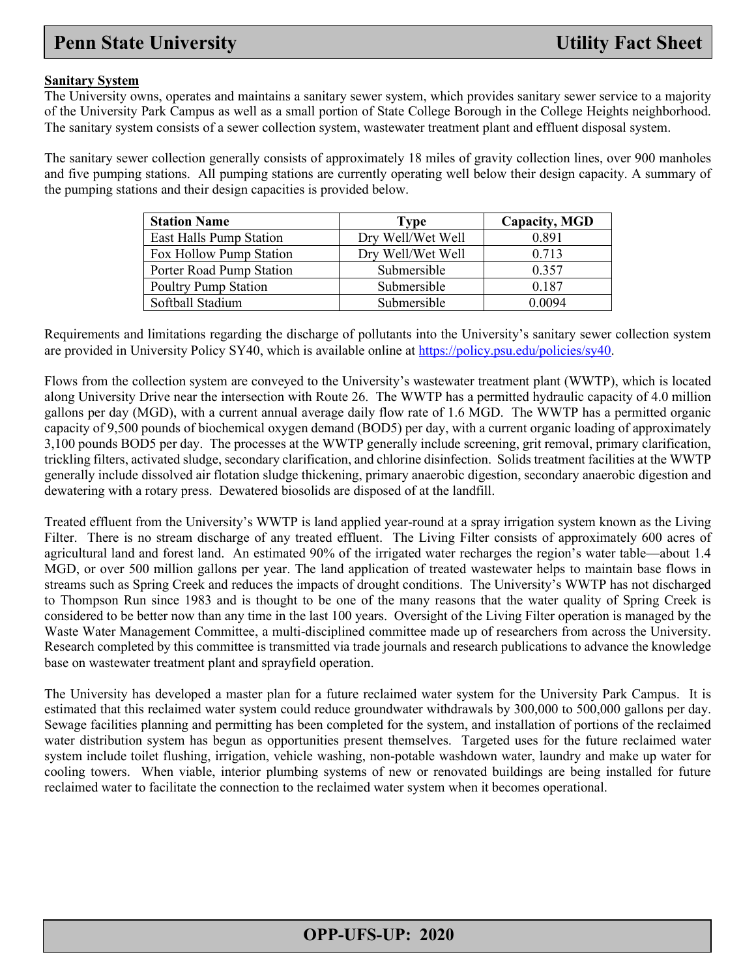#### **Sanitary System**

The University owns, operates and maintains a sanitary sewer system, which provides sanitary sewer service to a majority of the University Park Campus as well as a small portion of State College Borough in the College Heights neighborhood. The sanitary system consists of a sewer collection system, wastewater treatment plant and effluent disposal system.

The sanitary sewer collection generally consists of approximately 18 miles of gravity collection lines, over 900 manholes and five pumping stations. All pumping stations are currently operating well below their design capacity. A summary of the pumping stations and their design capacities is provided below.

| <b>Station Name</b>         | Type               | Capacity, MGD |
|-----------------------------|--------------------|---------------|
| East Halls Pump Station     | Dry Well/Wet Well  | 0.891         |
| Fox Hollow Pump Station     | Dry Well/Wet Well  | 0.713         |
| Porter Road Pump Station    | Submersible        | 0.357         |
| <b>Poultry Pump Station</b> | Submersible        | 0.187         |
| Softball Stadium            | <b>Submersible</b> | 0.0094        |

Requirements and limitations regarding the discharge of pollutants into the University's sanitary sewer collection system are provided in University Policy SY40, which is available online at [https://policy.psu.edu/policies/sy40.](https://policy.psu.edu/policies/sy40)

Flows from the collection system are conveyed to the University's wastewater treatment plant (WWTP), which is located along University Drive near the intersection with Route 26. The WWTP has a permitted hydraulic capacity of 4.0 million gallons per day (MGD), with a current annual average daily flow rate of 1.6 MGD. The WWTP has a permitted organic capacity of 9,500 pounds of biochemical oxygen demand (BOD5) per day, with a current organic loading of approximately 3,100 pounds BOD5 per day. The processes at the WWTP generally include screening, grit removal, primary clarification, trickling filters, activated sludge, secondary clarification, and chlorine disinfection. Solids treatment facilities at the WWTP generally include dissolved air flotation sludge thickening, primary anaerobic digestion, secondary anaerobic digestion and dewatering with a rotary press. Dewatered biosolids are disposed of at the landfill.

Treated effluent from the University's WWTP is land applied year-round at a spray irrigation system known as the Living Filter. There is no stream discharge of any treated effluent. The Living Filter consists of approximately 600 acres of agricultural land and forest land. An estimated 90% of the irrigated water recharges the region's water table—about 1.4 MGD, or over 500 million gallons per year. The land application of treated wastewater helps to maintain base flows in streams such as Spring Creek and reduces the impacts of drought conditions. The University's WWTP has not discharged to Thompson Run since 1983 and is thought to be one of the many reasons that the water quality of Spring Creek is considered to be better now than any time in the last 100 years. Oversight of the Living Filter operation is managed by the Waste Water Management Committee, a multi-disciplined committee made up of researchers from across the University. Research completed by this committee is transmitted via trade journals and research publications to advance the knowledge base on wastewater treatment plant and sprayfield operation.

The University has developed a master plan for a future reclaimed water system for the University Park Campus. It is estimated that this reclaimed water system could reduce groundwater withdrawals by 300,000 to 500,000 gallons per day. Sewage facilities planning and permitting has been completed for the system, and installation of portions of the reclaimed water distribution system has begun as opportunities present themselves. Targeted uses for the future reclaimed water system include toilet flushing, irrigation, vehicle washing, non-potable washdown water, laundry and make up water for cooling towers. When viable, interior plumbing systems of new or renovated buildings are being installed for future reclaimed water to facilitate the connection to the reclaimed water system when it becomes operational.

### **OPP-UFS-UP: 2020**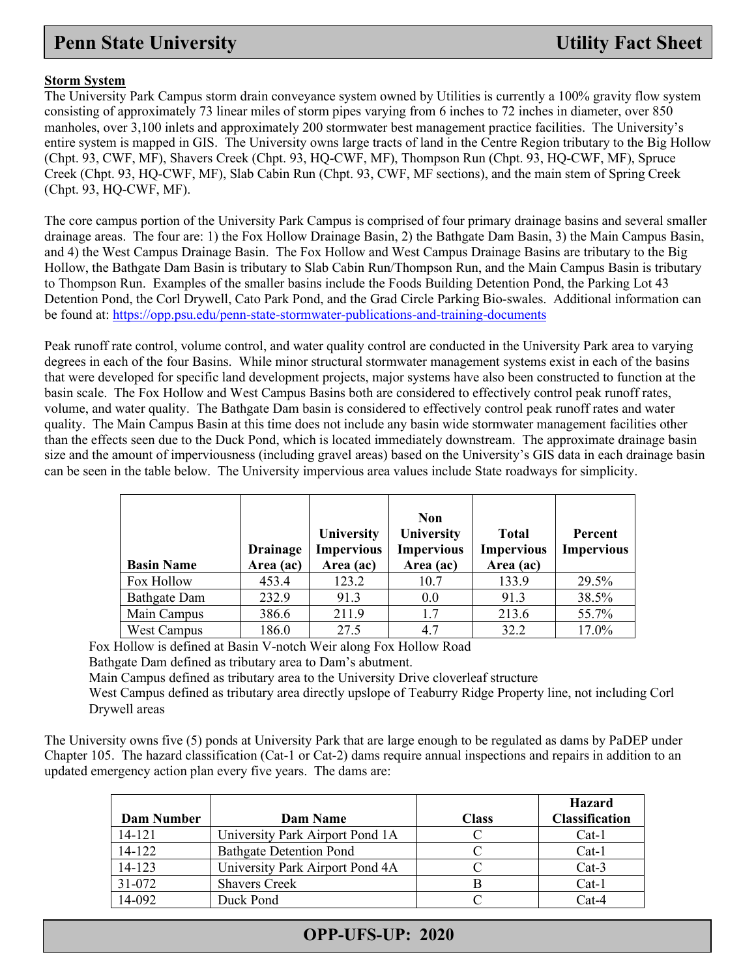#### **Storm System**

The University Park Campus storm drain conveyance system owned by Utilities is currently a 100% gravity flow system consisting of approximately 73 linear miles of storm pipes varying from 6 inches to 72 inches in diameter, over 850 manholes, over 3,100 inlets and approximately 200 stormwater best management practice facilities. The University's entire system is mapped in GIS. The University owns large tracts of land in the Centre Region tributary to the Big Hollow (Chpt. 93, CWF, MF), Shavers Creek (Chpt. 93, HQ-CWF, MF), Thompson Run (Chpt. 93, HQ-CWF, MF), Spruce Creek (Chpt. 93, HQ-CWF, MF), Slab Cabin Run (Chpt. 93, CWF, MF sections), and the main stem of Spring Creek (Chpt. 93, HQ-CWF, MF).

The core campus portion of the University Park Campus is comprised of four primary drainage basins and several smaller drainage areas. The four are: 1) the Fox Hollow Drainage Basin, 2) the Bathgate Dam Basin, 3) the Main Campus Basin, and 4) the West Campus Drainage Basin. The Fox Hollow and West Campus Drainage Basins are tributary to the Big Hollow, the Bathgate Dam Basin is tributary to Slab Cabin Run/Thompson Run, and the Main Campus Basin is tributary to Thompson Run. Examples of the smaller basins include the Foods Building Detention Pond, the Parking Lot 43 Detention Pond, the Corl Drywell, Cato Park Pond, and the Grad Circle Parking Bio-swales. Additional information can be found at:<https://opp.psu.edu/penn-state-stormwater-publications-and-training-documents>

Peak runoff rate control, volume control, and water quality control are conducted in the University Park area to varying degrees in each of the four Basins. While minor structural stormwater management systems exist in each of the basins that were developed for specific land development projects, major systems have also been constructed to function at the basin scale. The Fox Hollow and West Campus Basins both are considered to effectively control peak runoff rates, volume, and water quality. The Bathgate Dam basin is considered to effectively control peak runoff rates and water quality. The Main Campus Basin at this time does not include any basin wide stormwater management facilities other than the effects seen due to the Duck Pond, which is located immediately downstream. The approximate drainage basin size and the amount of imperviousness (including gravel areas) based on the University's GIS data in each drainage basin can be seen in the table below. The University impervious area values include State roadways for simplicity.

| <b>Basin Name</b>   | <b>Drainage</b><br>Area (ac) | University<br><b>Impervious</b><br>Area (ac) | <b>Non</b><br>University<br><b>Impervious</b><br>Area (ac) | <b>Total</b><br><b>Impervious</b><br>Area (ac) | Percent<br><b>Impervious</b> |
|---------------------|------------------------------|----------------------------------------------|------------------------------------------------------------|------------------------------------------------|------------------------------|
| Fox Hollow          | 453.4                        | 123.2                                        | 10.7                                                       | 133.9                                          | 29.5%                        |
| <b>Bathgate Dam</b> | 232.9                        | 91.3                                         | 0.0                                                        | 91.3                                           | 38.5%                        |
| Main Campus         | 386.6                        | 211.9                                        | 1.7                                                        | 213.6                                          | 55.7%                        |
| <b>West Campus</b>  | 186.0                        | 27.5                                         | 4.7                                                        | 32.2                                           | 17.0%                        |

Fox Hollow is defined at Basin V-notch Weir along Fox Hollow Road

Bathgate Dam defined as tributary area to Dam's abutment.

Main Campus defined as tributary area to the University Drive cloverleaf structure

West Campus defined as tributary area directly upslope of Teaburry Ridge Property line, not including Corl Drywell areas

The University owns five (5) ponds at University Park that are large enough to be regulated as dams by PaDEP under Chapter 105. The hazard classification (Cat-1 or Cat-2) dams require annual inspections and repairs in addition to an updated emergency action plan every five years. The dams are:

|            |                                 |              | <b>Hazard</b>         |
|------------|---------------------------------|--------------|-----------------------|
| Dam Number | Dam Name                        | <b>Class</b> | <b>Classification</b> |
| 14-121     | University Park Airport Pond 1A |              | $Cat-1$               |
| $14 - 122$ | <b>Bathgate Detention Pond</b>  |              | $Cat-1$               |
| 14-123     | University Park Airport Pond 4A |              | $Cat-3$               |
| 31-072     | <b>Shavers Creek</b>            |              | $Cat-1$               |
| 14-092     | Duck Pond                       |              | $Cat-4$               |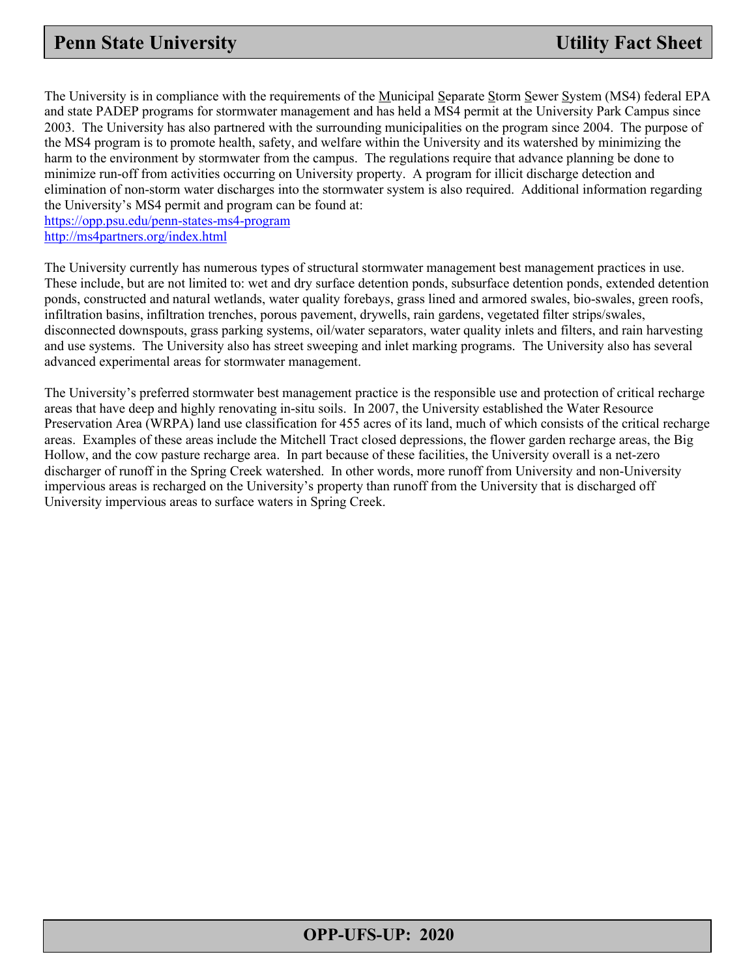The University is in compliance with the requirements of the Municipal Separate Storm Sewer System (MS4) federal EPA and state PADEP programs for stormwater management and has held a MS4 permit at the University Park Campus since 2003. The University has also partnered with the surrounding municipalities on the program since 2004. The purpose of the MS4 program is to promote health, safety, and welfare within the University and its watershed by minimizing the harm to the environment by stormwater from the campus. The regulations require that advance planning be done to minimize run-off from activities occurring on University property. A program for illicit discharge detection and elimination of non-storm water discharges into the stormwater system is also required. Additional information regarding the University's MS4 permit and program can be found at:

<https://opp.psu.edu/penn-states-ms4-program> <http://ms4partners.org/index.html>

The University currently has numerous types of structural stormwater management best management practices in use. These include, but are not limited to: wet and dry surface detention ponds, subsurface detention ponds, extended detention ponds, constructed and natural wetlands, water quality forebays, grass lined and armored swales, bio-swales, green roofs, infiltration basins, infiltration trenches, porous pavement, drywells, rain gardens, vegetated filter strips/swales, disconnected downspouts, grass parking systems, oil/water separators, water quality inlets and filters, and rain harvesting and use systems. The University also has street sweeping and inlet marking programs. The University also has several advanced experimental areas for stormwater management.

The University's preferred stormwater best management practice is the responsible use and protection of critical recharge areas that have deep and highly renovating in-situ soils. In 2007, the University established the Water Resource Preservation Area (WRPA) land use classification for 455 acres of its land, much of which consists of the critical recharge areas. Examples of these areas include the Mitchell Tract closed depressions, the flower garden recharge areas, the Big Hollow, and the cow pasture recharge area. In part because of these facilities, the University overall is a net-zero discharger of runoff in the Spring Creek watershed. In other words, more runoff from University and non-University impervious areas is recharged on the University's property than runoff from the University that is discharged off University impervious areas to surface waters in Spring Creek.